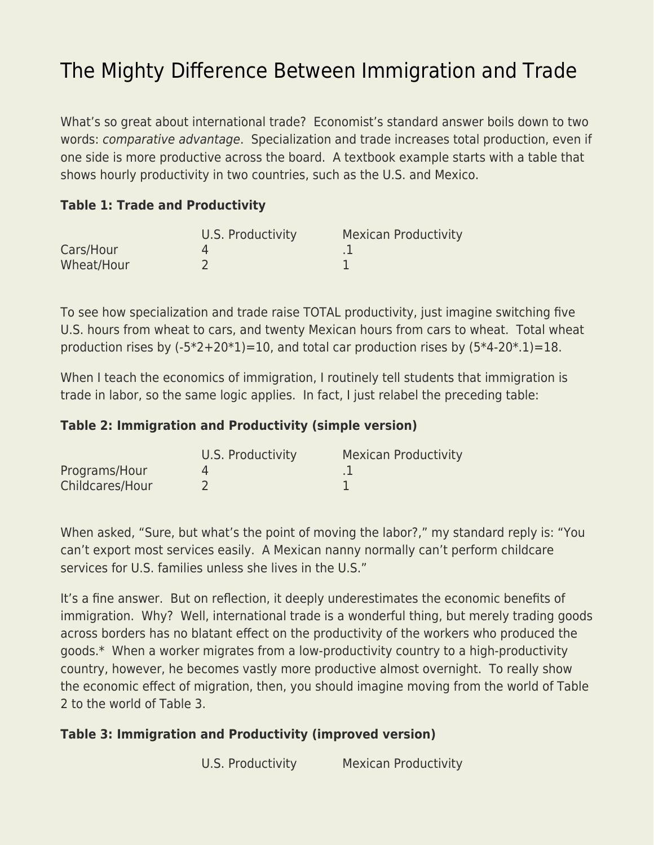## [The Mighty Difference Between Immigration and Trade](https://everything-voluntary.com/the-mighty-difference-between-immigration-and-trade)

What's so great about international trade? Economist's standard answer boils down to two words: comparative advantage. Specialization and trade increases total production, even if one side is more productive across the board. A textbook example starts with a table that shows hourly productivity in two countries, such as the U.S. and Mexico.

## **Table 1: Trade and Productivity**

|            | U.S. Productivity | <b>Mexican Productivity</b> |
|------------|-------------------|-----------------------------|
| Cars/Hour  |                   |                             |
| Wheat/Hour |                   |                             |

To see how specialization and trade raise TOTAL productivity, just imagine switching five U.S. hours from wheat to cars, and twenty Mexican hours from cars to wheat. Total wheat production rises by  $(-5*2+20*1)=10$ , and total car production rises by  $(5*4-20*1)=18$ .

When I teach the economics of immigration, I routinely tell students that immigration is trade in labor, so the same logic applies. In fact, I just relabel the preceding table:

## **Table 2: Immigration and Productivity (simple version)**

|                 | U.S. Productivity | <b>Mexican Productivity</b> |
|-----------------|-------------------|-----------------------------|
| Programs/Hour   |                   |                             |
| Childcares/Hour |                   |                             |

When asked, "Sure, but what's the point of moving the labor?," my standard reply is: "You can't export most services easily. A Mexican nanny normally can't perform childcare services for U.S. families unless she lives in the U.S."

It's a fine answer. But on reflection, it deeply underestimates the economic benefits of immigration. Why? Well, international trade is a wonderful thing, but merely trading goods across borders has no blatant effect on the productivity of the workers who produced the goods.\* When a worker migrates from a low-productivity country to a high-productivity country, however, he becomes vastly more productive almost overnight. To really show the economic effect of migration, then, you should imagine moving from the world of Table 2 to the world of Table 3.

## **Table 3: Immigration and Productivity (improved version)**

U.S. Productivity Mexican Productivity